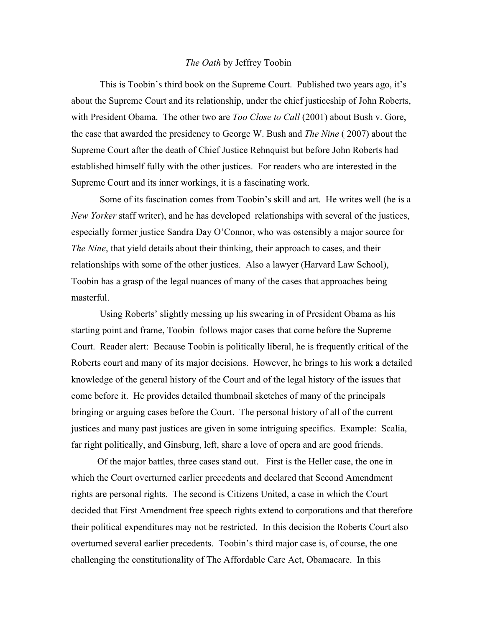## *The Oath* by Jeffrey Toobin

This is Toobin's third book on the Supreme Court. Published two years ago, it's about the Supreme Court and its relationship, under the chief justiceship of John Roberts, with President Obama. The other two are *Too Close to Call* (2001) about Bush v. Gore, the case that awarded the presidency to George W. Bush and *The Nine* ( 2007) about the Supreme Court after the death of Chief Justice Rehnquist but before John Roberts had established himself fully with the other justices. For readers who are interested in the Supreme Court and its inner workings, it is a fascinating work.

Some of its fascination comes from Toobin's skill and art. He writes well (he is a *New Yorker* staff writer), and he has developed relationships with several of the justices, especially former justice Sandra Day O'Connor, who was ostensibly a major source for *The Nine*, that yield details about their thinking, their approach to cases, and their relationships with some of the other justices. Also a lawyer (Harvard Law School), Toobin has a grasp of the legal nuances of many of the cases that approaches being masterful.

Using Roberts' slightly messing up his swearing in of President Obama as his starting point and frame, Toobin follows major cases that come before the Supreme Court. Reader alert: Because Toobin is politically liberal, he is frequently critical of the Roberts court and many of its major decisions. However, he brings to his work a detailed knowledge of the general history of the Court and of the legal history of the issues that come before it. He provides detailed thumbnail sketches of many of the principals bringing or arguing cases before the Court. The personal history of all of the current justices and many past justices are given in some intriguing specifics. Example: Scalia, far right politically, and Ginsburg, left, share a love of opera and are good friends.

 Of the major battles, three cases stand out. First is the Heller case, the one in which the Court overturned earlier precedents and declared that Second Amendment rights are personal rights. The second is Citizens United, a case in which the Court decided that First Amendment free speech rights extend to corporations and that therefore their political expenditures may not be restricted. In this decision the Roberts Court also overturned several earlier precedents. Toobin's third major case is, of course, the one challenging the constitutionality of The Affordable Care Act, Obamacare. In this